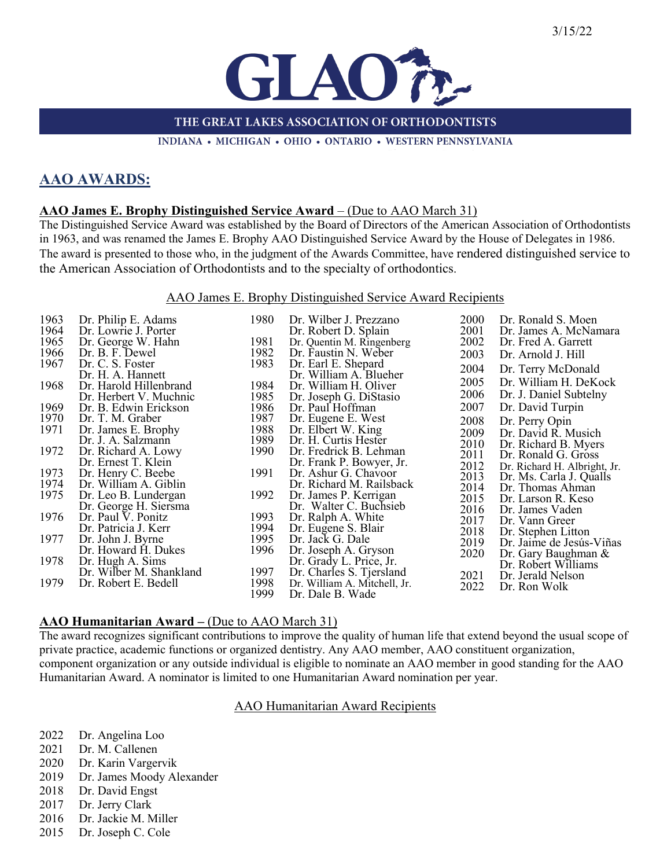

THE GREAT LAKES ASSOCIATION OF ORTHODONTISTS

INDIANA • MICHIGAN • OHIO • ONTARIO • WESTERN PENNSYLVANIA

# **AAO AWARDS:**

#### **AAO James E. Brophy Distinguished Service Award** – (Due to AAO March 31)

The Distinguished Service Award was established by the Board of Directors of the American Association of Orthodontists in 1963, and was renamed the James E. Brophy AAO Distinguished Service Award by the House of Delegates in 1986. The award is presented to those who, in the judgment of the Awards Committee, have rendered distinguished service to the American Association of Orthodontists and to the specialty of orthodontics.

#### AAO James E. Brophy Distinguished Service Award Recipients

| 1963 | Dr. Philip E. Adams     | 1980 | Dr. Wilber J. Prezzano       | 2000 | Dr. Ronald S. Moen           |
|------|-------------------------|------|------------------------------|------|------------------------------|
| 1964 | Dr. Lowrie J. Porter    |      | Dr. Robert D. Splain         | 2001 | Dr. James A. McNamara        |
| 1965 | Dr. George W. Hahn      | 1981 | Dr. Quentin M. Ringenberg    | 2002 | Dr. Fred A. Garrett          |
| 1966 | Dr. B. F. Dewel         | 1982 | Dr. Faustin N. Weber         | 2003 | Dr. Arnold J. Hill           |
| 1967 | Dr. C. S. Foster        | 1983 | Dr. Earl E. Shepard          | 2004 | Dr. Terry McDonald           |
|      | Dr. H. A. Hannett       |      | Dr. William A. Blueher       |      |                              |
| 1968 | Dr. Harold Hillenbrand  | 1984 | Dr. William H. Oliver        | 2005 | Dr. William H. DeKock        |
|      | Dr. Herbert V. Muchnic  | 1985 | Dr. Joseph G. DiStasio       | 2006 | Dr. J. Daniel Subtelny       |
| 1969 | Dr. B. Edwin Erickson   | 1986 | Dr. Paul Hoffman             | 2007 | Dr. David Turpin             |
| 1970 | Dr. T. M. Graber        | 1987 | Dr. Eugene E. West           | 2008 | Dr. Perry Opin               |
| 1971 | Dr. James E. Brophy     | 1988 | Dr. Elbert W. King           | 2009 | Dr. David R. Musich          |
|      | Dr. J. A. Salzmann      | 1989 | Dr. H. Curtis Hester         | 2010 | Dr. Richard B. Myers         |
| 1972 | Dr. Richard A. Lowy     | 1990 | Dr. Fredrick B. Lehman       | 2011 | Dr. Ronald G. Gross          |
|      | Dr. Ernest T. Klein     |      | Dr. Frank P. Bowyer, Jr.     | 2012 | Dr. Richard H. Albright, Jr. |
| 1973 | Dr. Henry C. Beebe      | 1991 | Dr. Ashur G. Chavoor         | 2013 | Dr. Ms. Carla J. Qualls      |
| 1974 | Dr. William A. Giblin   |      | Dr. Richard M. Railsback     | 2014 | Dr. Thomas Ahman             |
| 1975 | Dr. Leo B. Lundergan    | 1992 | Dr. James P. Kerrigan        | 2015 | Dr. Larson R. Keso           |
|      | Dr. George H. Siersma   |      | Dr. Walter C. Buchsieb       | 2016 | Dr. James Vaden              |
| 1976 | Dr. Paul V. Ponitz      | 1993 | Dr. Ralph A. White           | 2017 | Dr. Vann Greer               |
|      | Dr. Patricia J. Kerr    | 1994 | Dr. Eugene S. Blair          | 2018 | Dr. Stephen Litton           |
| 1977 | Dr. John J. Byrne       | 1995 | Dr. Jack G. Dale             | 2019 | Dr. Jaime de Jesús-Viñas     |
|      | Dr. Howard H. Dukes     | 1996 | Dr. Joseph A. Gryson         | 2020 | Dr. Gary Baughman &          |
| 1978 | Dr. Hugh A. Sims        |      | Dr. Grady L. Price, Jr.      |      | Dr. Robert Williams          |
|      | Dr. Wilber M. Shankland | 1997 | Dr. Charles S. Tjersland     | 2021 | Dr. Jerald Nelson            |
| 1979 | Dr. Robert E. Bedell    | 1998 | Dr. William A. Mitchell, Jr. | 2022 | Dr. Ron Wolk                 |
|      |                         | 1999 | Dr. Dale B. Wade             |      |                              |

#### **AAO Humanitarian Award – (Due to AAO March 31)**

The award recognizes significant contributions to improve the quality of human life that extend beyond the usual scope of private practice, academic functions or organized dentistry. Any AAO member, AAO constituent organization, component organization or any outside individual is eligible to nominate an AAO member in good standing for the AAO Humanitarian Award. A nominator is limited to one Humanitarian Award nomination per year.

#### AAO Humanitarian Award Recipients

- 2022 Dr. Angelina Loo
- 2021 Dr. M. Callenen
- 2020 Dr. Karin Vargervik
- 2019 Dr. James Moody Alexander
- 2018 Dr. David Engst
- 2017 Dr. Jerry Clark
- 2016 Dr. Jackie M. Miller
- 2015 Dr. Joseph C. Cole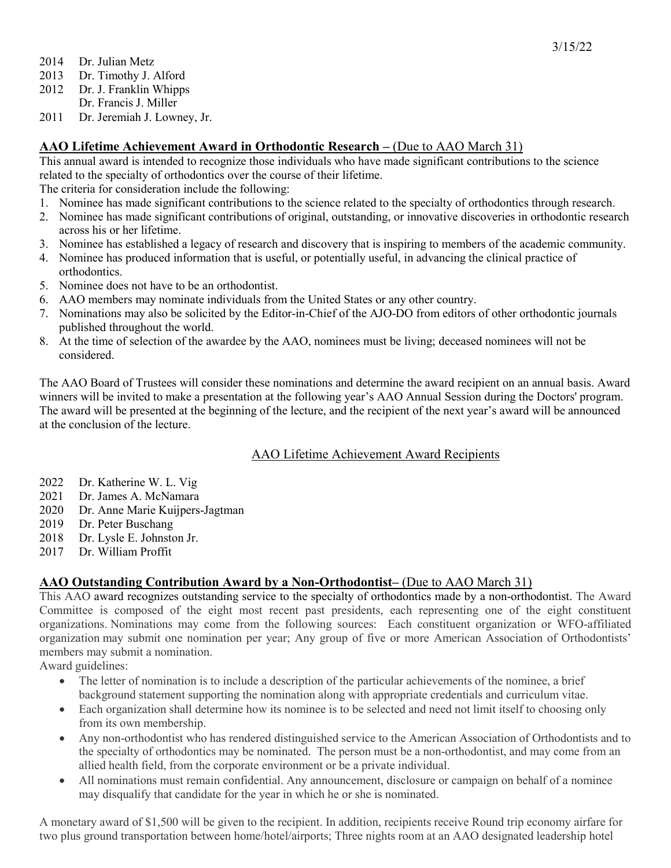- 2014 Dr. Julian Metz
- 2013 Dr. Timothy J. Alford
- 2012 Dr. J. Franklin Whipps
- Dr. Francis J. Miller
- 2011 Dr. Jeremiah J. Lowney, Jr.

## **AAO Lifetime Achievement Award in Orthodontic Research – (Due to AAO March 31)**

This annual award is intended to recognize those individuals who have made significant contributions to the science related to the specialty of orthodontics over the course of their lifetime.

The criteria for consideration include the following:

- 1. Nominee has made significant contributions to the science related to the specialty of orthodontics through research.
- 2. Nominee has made significant contributions of original, outstanding, or innovative discoveries in orthodontic research across his or her lifetime.
- 3. Nominee has established a legacy of research and discovery that is inspiring to members of the academic community.
- 4. Nominee has produced information that is useful, or potentially useful, in advancing the clinical practice of orthodontics.
- 5. Nominee does not have to be an orthodontist.
- 6. AAO members may nominate individuals from the United States or any other country.
- 7. Nominations may also be solicited by the Editor-in-Chief of the AJO-DO from editors of other orthodontic journals published throughout the world.
- 8. At the time of selection of the awardee by the AAO, nominees must be living; deceased nominees will not be considered.

The AAO Board of Trustees will consider these nominations and determine the award recipient on an annual basis. Award winners will be invited to make a presentation at the following year's AAO Annual Session during the Doctors' program. The award will be presented at the beginning of the lecture, and the recipient of the next year's award will be announced at the conclusion of the lecture.

## AAO Lifetime Achievement Award Recipients

- 2022 Dr. Katherine W. L. Vig
- 2021 Dr. James A. McNamara
- 2020 Dr. Anne Marie Kuijpers-Jagtman
- 2019 Dr. Peter Buschang
- 2018 Dr. Lysle E. Johnston Jr.
- 2017 Dr. William Proffit

## **AAO Outstanding Contribution Award by a Non-Orthodontist–** (Due to AAO March 31)

This AAO award recognizes outstanding service to the specialty of orthodontics made by a non-orthodontist. The Award Committee is composed of the eight most recent past presidents, each representing one of the eight constituent organizations. Nominations may come from the following sources: Each constituent organization or WFO-affiliated organization may submit one nomination per year; Any group of five or more American Association of Orthodontists' members may submit a nomination.

Award guidelines:

- The letter of nomination is to include a description of the particular achievements of the nominee, a brief background statement supporting the nomination along with appropriate credentials and curriculum vitae.
- Each organization shall determine how its nominee is to be selected and need not limit itself to choosing only from its own membership.
- Any non-orthodontist who has rendered distinguished service to the American Association of Orthodontists and to the specialty of orthodontics may be nominated. The person must be a non-orthodontist, and may come from an allied health field, from the corporate environment or be a private individual.
- All nominations must remain confidential. Any announcement, disclosure or campaign on behalf of a nominee may disqualify that candidate for the year in which he or she is nominated.

A monetary award of \$1,500 will be given to the recipient. In addition, recipients receive Round trip economy airfare for two plus ground transportation between home/hotel/airports; Three nights room at an AAO designated leadership hotel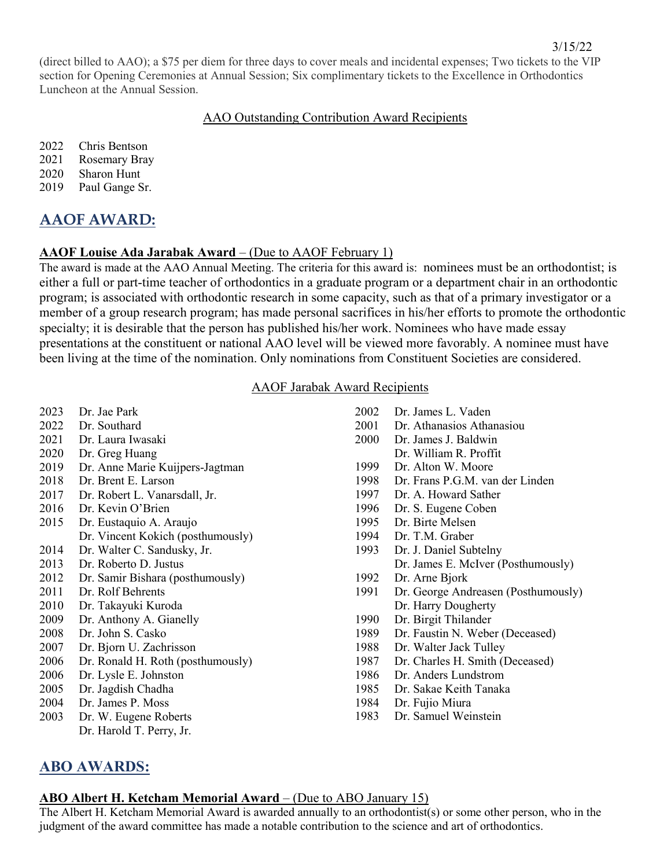(direct billed to AAO); a \$75 per diem for three days to cover meals and incidental expenses; Two tickets to the VIP section for Opening Ceremonies at Annual Session; Six complimentary tickets to the Excellence in Orthodontics Luncheon at the Annual Session.

## AAO Outstanding Contribution Award Recipients

2022 Chris Bentson

2021 Rosemary Bray

2020 Sharon Hunt

2019 Paul Gange Sr.

# **AAOF AWARD:**

## **AAOF Louise Ada Jarabak Award** – (Due to AAOF February 1)

The award is made at the AAO Annual Meeting. The criteria for this award is: nominees must be an orthodontist; is either a full or part-time teacher of orthodontics in a graduate program or a department chair in an orthodontic program; is associated with orthodontic research in some capacity, such as that of a primary investigator or a member of a group research program; has made personal sacrifices in his/her efforts to promote the orthodontic specialty; it is desirable that the person has published his/her work. Nominees who have made essay presentations at the constituent or national AAO level will be viewed more favorably. A nominee must have been living at the time of the nomination. Only nominations from Constituent Societies are considered.

### AAOF Jarabak Award Recipients

2023 Dr. Jae Park 2022 Dr. Southard 2021 Dr. Laura Iwasaki 2020 Dr. Greg Huang 2019 Dr. Anne Marie Kuijpers-Jagtman 2018 Dr. Brent E. Larson 2017 Dr. Robert L. Vanarsdall, Jr. 2016 Dr. Kevin O'Brien 2015 Dr. Eustaquio A. Araujo Dr. Vincent Kokich (posthumously) 2014 Dr. Walter C. Sandusky, Jr. 2013 Dr. Roberto D. Justus 2012 Dr. Samir Bishara (posthumously) 2011 Dr. Rolf Behrents 2010 Dr. Takayuki Kuroda 2009 Dr. Anthony A. Gianelly 2008 Dr. John S. Casko 2007 Dr. Bjorn U. Zachrisson 2006 Dr. Ronald H. Roth (posthumously) 2006 Dr. Lysle E. Johnston 2005 Dr. Jagdish Chadha 2004 Dr. James P. Moss 2003 Dr. W. Eugene Roberts Dr. Harold T. Perry, Jr. 2002 Dr. James L. Vaden 2001 Dr. Athanasios Athanasiou 2000 Dr. James J. Baldwin Dr. William R. Proffit 1999 Dr. Alton W. Moore 1998 Dr. Frans P.G.M. van der Linden 1997 Dr. A. Howard Sather 1996 Dr. S. Eugene Coben 1995 Dr. Birte Melsen 1994 Dr. T.M. Graber 1993 Dr. J. Daniel Subtelny Dr. James E. McIver (Posthumously) 1992 Dr. Arne Bjork 1991 Dr. George Andreasen (Posthumously) Dr. Harry Dougherty 1990 Dr. Birgit Thilander 1989 Dr. Faustin N. Weber (Deceased) 1988 Dr. Walter Jack Tulley 1987 Dr. Charles H. Smith (Deceased) 1986 Dr. Anders Lundstrom 1985 Dr. Sakae Keith Tanaka 1984 Dr. Fujio Miura 1983 Dr. Samuel Weinstein

# **ABO AWARDS:**

## **ABO Albert H. Ketcham Memorial Award** – (Due to ABO January 15)

The Albert H. Ketcham Memorial Award is awarded annually to an orthodontist(s) or some other person, who in the judgment of the award committee has made a notable contribution to the science and art of orthodontics.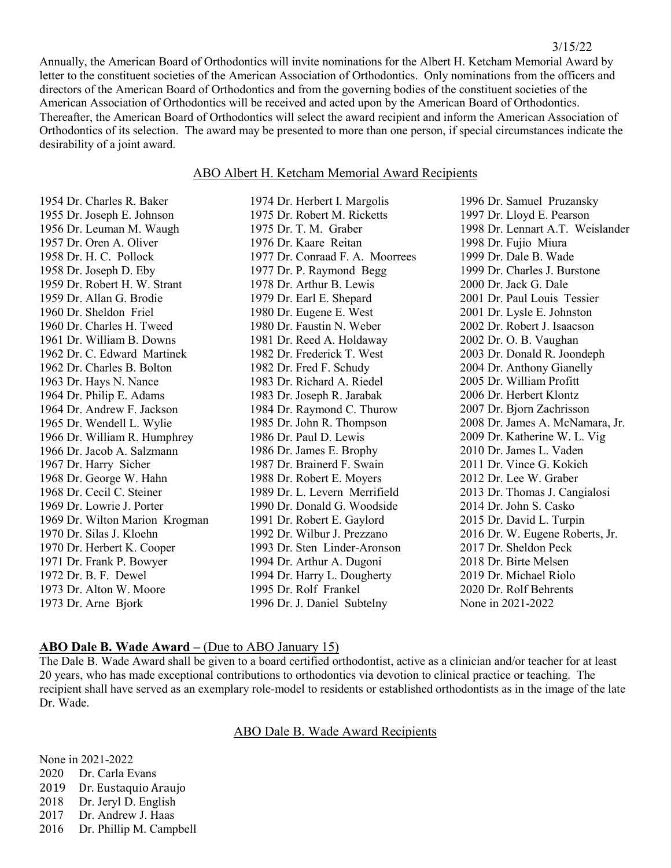Annually, the American Board of Orthodontics will invite nominations for the Albert H. Ketcham Memorial Award by letter to the constituent societies of the American Association of Orthodontics. Only nominations from the officers and directors of the American Board of Orthodontics and from the governing bodies of the constituent societies of the American Association of Orthodontics will be received and acted upon by the American Board of Orthodontics. Thereafter, the American Board of Orthodontics will select the award recipient and inform the American Association of Orthodontics of its selection. The award may be presented to more than one person, if special circumstances indicate the desirability of a joint award.

#### ABO Albert H. Ketcham Memorial Award Recipients

1974 Dr. Herbert I. Margolis

1954 Dr. Charles R. Baker 1955 Dr. Joseph E. Johnson 1956 Dr. Leuman M. Waugh 1957 Dr. Oren A. Oliver 1958 Dr. H. C. Pollock 1958 Dr. Joseph D. Eby 1959 Dr. Robert H. W. Strant 1959 Dr. Allan G. Brodie 1960 Dr. Sheldon Friel 1960 Dr. Charles H. Tweed 1961 Dr. William B. Downs 1962 Dr. C. Edward Martinek 1962 Dr. Charles B. Bolton 1963 Dr. Hays N. Nance 1964 Dr. Philip E. Adams 1964 Dr. Andrew F. Jackson 1965 Dr. Wendell L. Wylie 1966 Dr. William R. Humphrey 1966 Dr. Jacob A. Salzmann 1967 Dr. Harry Sicher 1968 Dr. George W. Hahn 1968 Dr. Cecil C. Steiner 1969 Dr. Lowrie J. Porter 1969 Dr. Wilton Marion Krogman 1970 Dr. Silas J. Kloehn 1970 Dr. Herbert K. Cooper 1971 Dr. Frank P. Bowyer 1972 Dr. B. F. Dewel 1973 Dr. Alton W. Moore 1973 Dr. Arne Bjork

1975 Dr. Robert M. Ricketts 1975 Dr. T. M. Graber 1976 Dr. Kaare Reitan 1977 Dr. Conraad F. A. Moorrees 1977 Dr. P. Raymond Begg 1978 Dr. Arthur B. Lewis 1979 Dr. Earl E. Shepard 1980 Dr. Eugene E. West 1980 Dr. Faustin N. Weber 1981 Dr. Reed A. Holdaway 1982 Dr. Frederick T. West 1982 Dr. Fred F. Schudy 1983 Dr. Richard A. Riedel 1983 Dr. Joseph R. Jarabak 1984 Dr. Raymond C. Thurow 1985 Dr. John R. Thompson 1986 Dr. Paul D. Lewis 1986 Dr. James E. Brophy 1987 Dr. Brainerd F. Swain 1988 Dr. Robert E. Moyers 1989 Dr. L. Levern Merrifield 1990 Dr. Donald G. Woodside 1991 Dr. Robert E. Gaylord 1992 Dr. Wilbur J. Prezzano 1993 Dr. Sten Linder-Aronson 1994 Dr. Arthur A. Dugoni 1994 Dr. Harry L. Dougherty 1995 Dr. Rolf Frankel 1996 Dr. J. Daniel Subtelny

1996 Dr. Samuel Pruzansky 1997 Dr. Lloyd E. Pearson 1998 Dr. Lennart A.T. Weislander 1998 Dr. Fujio Miura 1999 Dr. Dale B. Wade 1999 Dr. Charles J. Burstone 2000 Dr. Jack G. Dale 2001 Dr. Paul Louis Tessier 2001 Dr. Lysle E. Johnston 2002 Dr. Robert J. Isaacson 2002 Dr. O. B. Vaughan 2003 Dr. Donald R. Joondeph 2004 Dr. Anthony Gianelly 2005 Dr. William Profitt 2006 Dr. Herbert Klontz 2007 Dr. Bjorn Zachrisson 2008 Dr. James A. McNamara, Jr. 2009 Dr. Katherine W. L. Vig 2010 Dr. James L. Vaden 2011 Dr. Vince G. Kokich 2012 Dr. Lee W. Graber 2013 Dr. Thomas J. Cangialosi 2014 Dr. John S. Casko 2015 Dr. David L. Turpin 2016 Dr. W. Eugene Roberts, Jr. 2017 Dr. Sheldon Peck 2018 Dr. Birte Melsen 2019 Dr. Michael Riolo 2020 Dr. Rolf Behrents None in 2021-2022

#### **ABO Dale B. Wade Award –** (Due to ABO January 15)

The Dale B. Wade Award shall be given to a board certified orthodontist, active as a clinician and/or teacher for at least 20 years, who has made exceptional contributions to orthodontics via devotion to clinical practice or teaching. The recipient shall have served as an exemplary role-model to residents or established orthodontists as in the image of the late Dr. Wade.

ABO Dale B. Wade Award Recipients

None in 2021-2022 2020 Dr. Carla Evans 2019 Dr. Eustaquio Araujo<br>2018 Dr. Jervl D. English Dr. Jeryl D. English 2017 Dr. Andrew J. Haas 2016 Dr. Phillip M. Campbell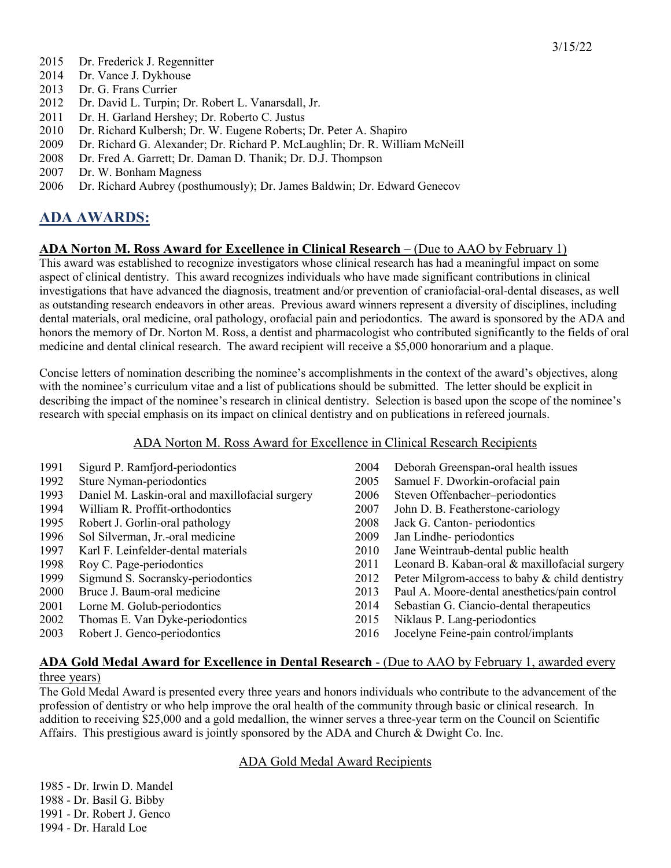- 2014 Dr. Vance J. Dykhouse
- 2013 Dr. G. Frans Currier
- 2012 Dr. David L. Turpin; Dr. Robert L. Vanarsdall, Jr.
- 2011 Dr. H. Garland Hershey; Dr. Roberto C. Justus
- 2010 Dr. Richard Kulbersh; Dr. W. Eugene Roberts; Dr. Peter A. Shapiro
- 2009 Dr. Richard G. Alexander; Dr. Richard P. McLaughlin; Dr. R. William McNeill
- 2008 Dr. Fred A. Garrett; Dr. Daman D. Thanik; Dr. D.J. Thompson
- 2007 Dr. W. Bonham Magness
- 2006 Dr. Richard Aubrey (posthumously); Dr. James Baldwin; Dr. Edward Genecov

# **ADA AWARDS:**

## **ADA Norton M. Ross Award for Excellence in Clinical Research** – (Due to AAO by February 1)

This award was established to recognize investigators whose clinical research has had a meaningful impact on some aspect of clinical dentistry. This award recognizes individuals who have made significant contributions in clinical investigations that have advanced the diagnosis, treatment and/or prevention of craniofacial-oral-dental diseases, as well as outstanding research endeavors in other areas. Previous award winners represent a diversity of disciplines, including dental materials, oral medicine, oral pathology, orofacial pain and periodontics. The award is sponsored by the ADA and honors the memory of Dr. Norton M. Ross, a dentist and pharmacologist who contributed significantly to the fields of oral medicine and dental clinical research. The award recipient will receive a \$5,000 honorarium and a plaque.

Concise letters of nomination describing the nominee's accomplishments in the context of the award's objectives, along with the nominee's curriculum vitae and a list of publications should be submitted. The letter should be explicit in describing the impact of the nominee's research in clinical dentistry. Selection is based upon the scope of the nominee's research with special emphasis on its impact on clinical dentistry and on publications in refereed journals.

#### ADA Norton M. Ross Award for Excellence in Clinical Research Recipients

| 1991 | Sigurd P. Ramfjord-periodontics                 | 2004 | Deborah Greenspan-oral health issues           |
|------|-------------------------------------------------|------|------------------------------------------------|
| 1992 | Sture Nyman-periodontics                        | 2005 | Samuel F. Dworkin-orofacial pain               |
| 1993 | Daniel M. Laskin-oral and maxillofacial surgery | 2006 | Steven Offenbacher-periodontics                |
| 1994 | William R. Proffit-orthodontics                 | 2007 | John D. B. Featherstone-cariology              |
| 1995 | Robert J. Gorlin-oral pathology                 | 2008 | Jack G. Canton-periodontics                    |
| 1996 | Sol Silverman, Jr.-oral medicine                | 2009 | Jan Lindhe-periodontics                        |
| 1997 | Karl F. Leinfelder-dental materials             | 2010 | Jane Weintraub-dental public health            |
| 1998 | Roy C. Page-periodontics                        | 2011 | Leonard B. Kaban-oral & maxillofacial surgery  |
| 1999 | Sigmund S. Socransky-periodontics               | 2012 | Peter Milgrom-access to baby & child dentistry |
| 2000 | Bruce J. Baum-oral medicine                     | 2013 | Paul A. Moore-dental anesthetics/pain control  |
| 2001 | Lorne M. Golub-periodontics                     | 2014 | Sebastian G. Ciancio-dental therapeutics       |
| 2002 | Thomas E. Van Dyke-periodontics                 | 2015 | Niklaus P. Lang-periodontics                   |
| 2003 | Robert J. Genco-periodontics                    | 2016 | Jocelyne Feine-pain control/implants           |
|      |                                                 |      |                                                |

#### **ADA Gold Medal Award for Excellence in Dental Research** - (Due to AAO by February 1, awarded every three years)

The Gold Medal Award is presented every three years and honors individuals who contribute to the advancement of the profession of dentistry or who help improve the oral health of the community through basic or clinical research. In addition to receiving \$25,000 and a gold medallion, the winner serves a three-year term on the Council on Scientific Affairs. This prestigious award is jointly sponsored by the ADA and Church & Dwight Co. Inc.

#### ADA Gold Medal Award Recipients

1985 - Dr. Irwin D. Mandel 1988 - Dr. Basil G. Bibby 1991 - Dr. Robert J. Genco 1994 - Dr. Harald Loe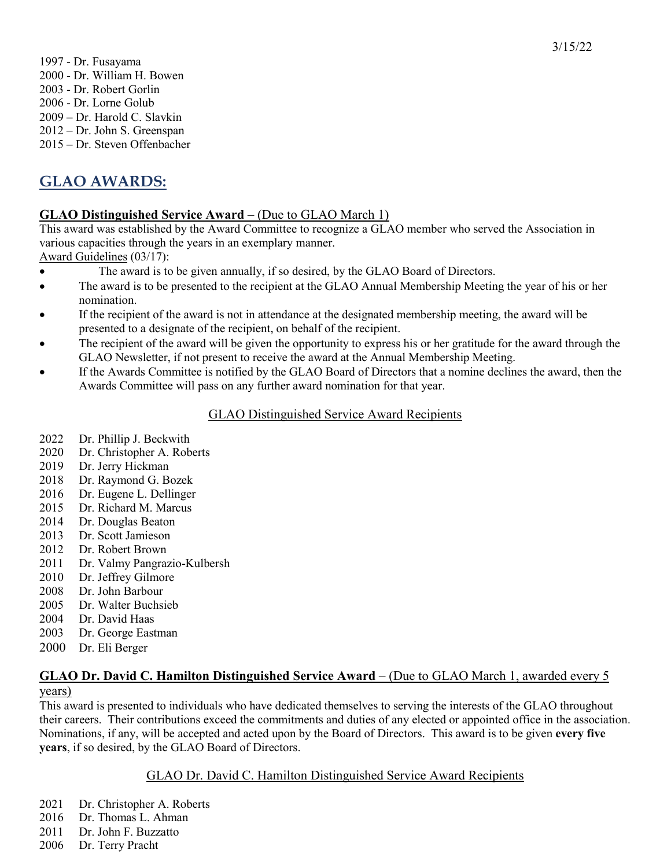1997 - Dr. Fusayama 2000 - Dr. William H. Bowen 2003 - Dr. Robert Gorlin 2006 - Dr. Lorne Golub 2009 – Dr. Harold C. Slavkin 2012 – Dr. John S. Greenspan 2015 – Dr. Steven Offenbacher

# **GLAO AWARDS:**

## **GLAO Distinguished Service Award** – (Due to GLAO March 1)

This award was established by the Award Committee to recognize a GLAO member who served the Association in various capacities through the years in an exemplary manner.

Award Guidelines (03/17):

- The award is to be given annually, if so desired, by the GLAO Board of Directors.
- The award is to be presented to the recipient at the GLAO Annual Membership Meeting the year of his or her nomination.
- If the recipient of the award is not in attendance at the designated membership meeting, the award will be presented to a designate of the recipient, on behalf of the recipient.
- The recipient of the award will be given the opportunity to express his or her gratitude for the award through the GLAO Newsletter, if not present to receive the award at the Annual Membership Meeting.
- If the Awards Committee is notified by the GLAO Board of Directors that a nomine declines the award, then the Awards Committee will pass on any further award nomination for that year.

## GLAO Distinguished Service Award Recipients

- 2022 Dr. Phillip J. Beckwith
- 2020 Dr. Christopher A. Roberts
- 2019 Dr. Jerry Hickman
- 2018 Dr. Raymond G. Bozek
- 2016 Dr. Eugene L. Dellinger
- 2015 Dr. Richard M. Marcus
- 2014 Dr. Douglas Beaton
- 2013 Dr. Scott Jamieson
- 2012 Dr. Robert Brown
- 2011 Dr. Valmy Pangrazio-Kulbersh
- 2010 Dr. Jeffrey Gilmore
- 2008 Dr. John Barbour
- 2005 Dr. Walter Buchsieb
- 2004 Dr. David Haas
- 2003 Dr. George Eastman
- 2000 Dr. Eli Berger

## **GLAO Dr. David C. Hamilton Distinguished Service Award** – (Due to GLAO March 1, awarded every 5 years)

This award is presented to individuals who have dedicated themselves to serving the interests of the GLAO throughout their careers. Their contributions exceed the commitments and duties of any elected or appointed office in the association. Nominations, if any, will be accepted and acted upon by the Board of Directors. This award is to be given **every five years**, if so desired, by the GLAO Board of Directors.

## GLAO Dr. David C. Hamilton Distinguished Service Award Recipients

- 2021 Dr. Christopher A. Roberts
- 2016 Dr. Thomas L. Ahman
- 2011 Dr. John F. Buzzatto
- 2006 Dr. Terry Pracht